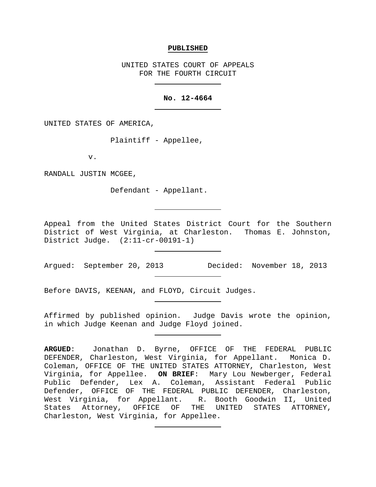#### **PUBLISHED**

UNITED STATES COURT OF APPEALS FOR THE FOURTH CIRCUIT

### **No. 12-4664**

UNITED STATES OF AMERICA,

Plaintiff - Appellee,

v.

RANDALL JUSTIN MCGEE,

Defendant - Appellant.

Appeal from the United States District Court for the Southern District of West Virginia, at Charleston. Thomas E. Johnston, District Judge. (2:11-cr-00191-1)

Argued: September 20, 2013 Decided: November 18, 2013

Before DAVIS, KEENAN, and FLOYD, Circuit Judges.

Affirmed by published opinion. Judge Davis wrote the opinion, in which Judge Keenan and Judge Floyd joined.

**ARGUED**: Jonathan D. Byrne, OFFICE OF THE FEDERAL PUBLIC DEFENDER, Charleston, West Virginia, for Appellant. Monica D. Coleman, OFFICE OF THE UNITED STATES ATTORNEY, Charleston, West Virginia, for Appellee. **ON BRIEF**: Mary Lou Newberger, Federal Public Defender, Lex A. Coleman, Assistant Federal Public Defender, OFFICE OF THE FEDERAL PUBLIC DEFENDER, Charleston, West Virginia, for Appellant. R. Booth Goodwin II, United States Attorney, OFFICE OF THE UNITED STATES ATTORNEY, Charleston, West Virginia, for Appellee.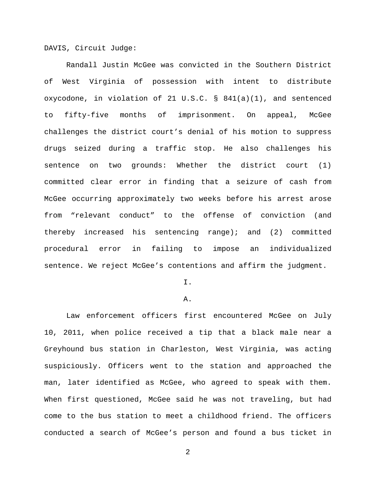DAVIS, Circuit Judge:

Randall Justin McGee was convicted in the Southern District of West Virginia of possession with intent to distribute oxycodone, in violation of 21 U.S.C. § 841(a)(1), and sentenced to fifty-five months of imprisonment. On appeal, McGee challenges the district court's denial of his motion to suppress drugs seized during a traffic stop. He also challenges his sentence on two grounds: Whether the district court (1) committed clear error in finding that a seizure of cash from McGee occurring approximately two weeks before his arrest arose from "relevant conduct" to the offense of conviction (and thereby increased his sentencing range); and (2) committed procedural error in failing to impose an individualized sentence. We reject McGee's contentions and affirm the judgment.

I.

#### A.

Law enforcement officers first encountered McGee on July 10, 2011, when police received a tip that a black male near a Greyhound bus station in Charleston, West Virginia, was acting suspiciously. Officers went to the station and approached the man, later identified as McGee, who agreed to speak with them. When first questioned, McGee said he was not traveling, but had come to the bus station to meet a childhood friend. The officers conducted a search of McGee's person and found a bus ticket in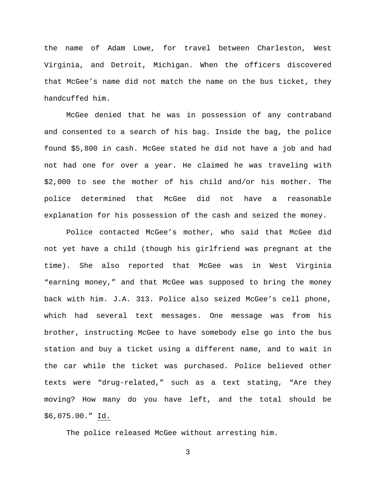the name of Adam Lowe, for travel between Charleston, West Virginia, and Detroit, Michigan. When the officers discovered that McGee's name did not match the name on the bus ticket, they handcuffed him.

McGee denied that he was in possession of any contraband and consented to a search of his bag. Inside the bag, the police found \$5,800 in cash. McGee stated he did not have a job and had not had one for over a year. He claimed he was traveling with \$2,000 to see the mother of his child and/or his mother. The police determined that McGee did not have a reasonable explanation for his possession of the cash and seized the money.

Police contacted McGee's mother, who said that McGee did not yet have a child (though his girlfriend was pregnant at the time). She also reported that McGee was in West Virginia "earning money," and that McGee was supposed to bring the money back with him. J.A. 313. Police also seized McGee's cell phone, which had several text messages. One message was from his brother, instructing McGee to have somebody else go into the bus station and buy a ticket using a different name, and to wait in the car while the ticket was purchased. Police believed other texts were "drug-related," such as a text stating, "Are they moving? How many do you have left, and the total should be \$6,075.00." Id.

The police released McGee without arresting him.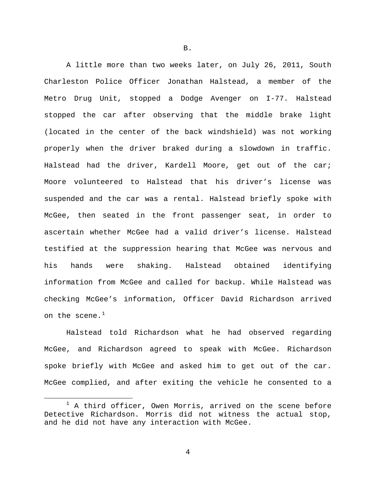A little more than two weeks later, on July 26, 2011, South Charleston Police Officer Jonathan Halstead, a member of the Metro Drug Unit, stopped a Dodge Avenger on I-77. Halstead stopped the car after observing that the middle brake light (located in the center of the back windshield) was not working properly when the driver braked during a slowdown in traffic. Halstead had the driver, Kardell Moore, get out of the car; Moore volunteered to Halstead that his driver's license was suspended and the car was a rental. Halstead briefly spoke with McGee, then seated in the front passenger seat, in order to ascertain whether McGee had a valid driver's license. Halstead testified at the suppression hearing that McGee was nervous and his hands were shaking. Halstead obtained identifying information from McGee and called for backup. While Halstead was checking McGee's information, Officer David Richardson arrived on the scene. $1$ 

Halstead told Richardson what he had observed regarding McGee, and Richardson agreed to speak with McGee. Richardson spoke briefly with McGee and asked him to get out of the car. McGee complied, and after exiting the vehicle he consented to a

B.

<span id="page-3-0"></span> $1$  A third officer, Owen Morris, arrived on the scene before Detective Richardson. Morris did not witness the actual stop, and he did not have any interaction with McGee.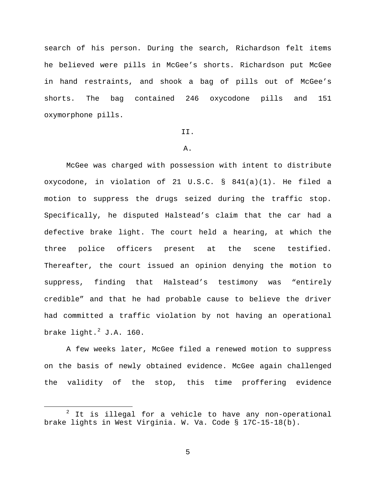search of his person. During the search, Richardson felt items he believed were pills in McGee's shorts. Richardson put McGee in hand restraints, and shook a bag of pills out of McGee's shorts. The bag contained 246 oxycodone pills and 151 oxymorphone pills.

## II.

# A.

McGee was charged with possession with intent to distribute oxycodone, in violation of 21 U.S.C. § 841(a)(1). He filed a motion to suppress the drugs seized during the traffic stop. Specifically, he disputed Halstead's claim that the car had a defective brake light. The court held a hearing, at which the three police officers present at the scene testified. Thereafter, the court issued an opinion denying the motion to suppress, finding that Halstead's testimony was "entirely credible" and that he had probable cause to believe the driver had committed a traffic violation by not having an operational brake light. $^2$  $^2$  J.A. 160.

A few weeks later, McGee filed a renewed motion to suppress on the basis of newly obtained evidence. McGee again challenged the validity of the stop, this time proffering evidence

<span id="page-4-0"></span> $2$  It is illegal for a vehicle to have any non-operational brake lights in West Virginia. W. Va. Code § 17C-15-18(b).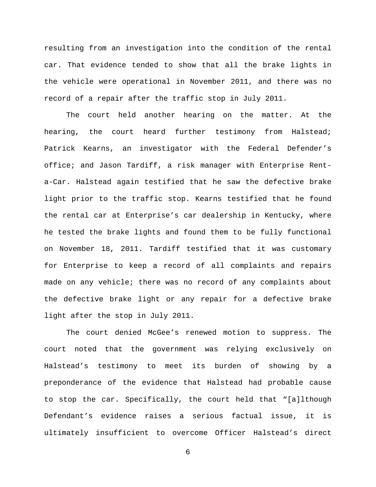resulting from an investigation into the condition of the rental car. That evidence tended to show that all the brake lights in the vehicle were operational in November 2011, and there was no record of a repair after the traffic stop in July 2011.

The court held another hearing on the matter. At the hearing, the court heard further testimony from Halstead; Patrick Kearns, an investigator with the Federal Defender's office; and Jason Tardiff, a risk manager with Enterprise Renta-Car. Halstead again testified that he saw the defective brake light prior to the traffic stop. Kearns testified that he found the rental car at Enterprise's car dealership in Kentucky, where he tested the brake lights and found them to be fully functional on November 18, 2011. Tardiff testified that it was customary for Enterprise to keep a record of all complaints and repairs made on any vehicle; there was no record of any complaints about the defective brake light or any repair for a defective brake light after the stop in July 2011.

The court denied McGee's renewed motion to suppress. The court noted that the government was relying exclusively on Halstead's testimony to meet its burden of showing by a preponderance of the evidence that Halstead had probable cause to stop the car. Specifically, the court held that "[a]lthough Defendant's evidence raises a serious factual issue, it is ultimately insufficient to overcome Officer Halstead's direct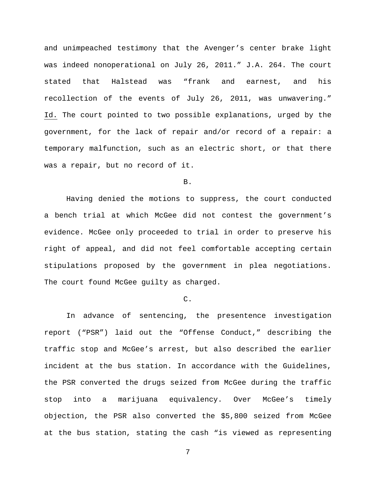and unimpeached testimony that the Avenger's center brake light was indeed nonoperational on July 26, 2011." J.A. 264. The court stated that Halstead was "frank and earnest, and his recollection of the events of July 26, 2011, was unwavering." Id. The court pointed to two possible explanations, urged by the government, for the lack of repair and/or record of a repair: a temporary malfunction, such as an electric short, or that there was a repair, but no record of it.

### B.

Having denied the motions to suppress, the court conducted a bench trial at which McGee did not contest the government's evidence. McGee only proceeded to trial in order to preserve his right of appeal, and did not feel comfortable accepting certain stipulations proposed by the government in plea negotiations. The court found McGee guilty as charged.

#### $\mathcal{C}$ .

In advance of sentencing, the presentence investigation report ("PSR") laid out the "Offense Conduct," describing the traffic stop and McGee's arrest, but also described the earlier incident at the bus station. In accordance with the Guidelines, the PSR converted the drugs seized from McGee during the traffic stop into a marijuana equivalency. Over McGee's timely objection, the PSR also converted the \$5,800 seized from McGee at the bus station, stating the cash "is viewed as representing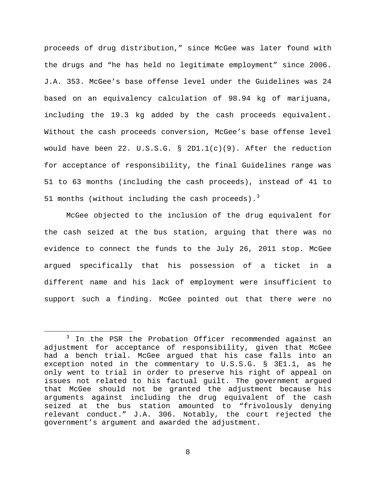proceeds of drug distribution," since McGee was later found with the drugs and "he has held no legitimate employment" since 2006. J.A. 353. McGee's base offense level under the Guidelines was 24 based on an equivalency calculation of 98.94 kg of marijuana, including the 19.3 kg added by the cash proceeds equivalent. Without the cash proceeds conversion, McGee's base offense level would have been 22. U.S.S.G. § 2D1.1(c)(9). After the reduction for acceptance of responsibility, the final Guidelines range was 51 to 63 months (including the cash proceeds), instead of 41 to 51 months (without including the cash proceeds). $3$ 

McGee objected to the inclusion of the drug equivalent for the cash seized at the bus station, arguing that there was no evidence to connect the funds to the July 26, 2011 stop. McGee argued specifically that his possession of a ticket in a different name and his lack of employment were insufficient to support such a finding. McGee pointed out that there were no

<span id="page-7-0"></span> $3$  In the PSR the Probation Officer recommended against an adjustment for acceptance of responsibility, given that McGee had a bench trial. McGee argued that his case falls into an exception noted in the commentary to U.S.S.G. § 3E1.1, as he only went to trial in order to preserve his right of appeal on issues not related to his factual guilt. The government argued that McGee should not be granted the adjustment because his arguments against including the drug equivalent of the cash seized at the bus station amounted to "frivolously denying relevant conduct." J.A. 306. Notably, the court rejected the government's argument and awarded the adjustment.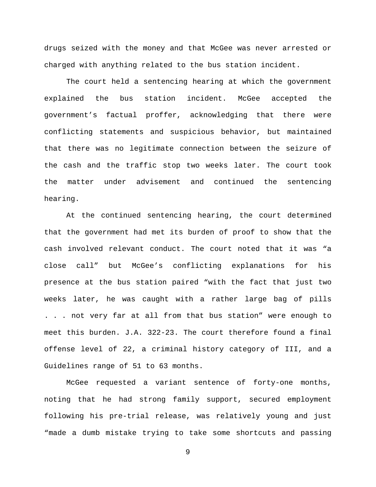drugs seized with the money and that McGee was never arrested or charged with anything related to the bus station incident.

The court held a sentencing hearing at which the government explained the bus station incident. McGee accepted the government's factual proffer, acknowledging that there were conflicting statements and suspicious behavior, but maintained that there was no legitimate connection between the seizure of the cash and the traffic stop two weeks later. The court took the matter under advisement and continued the sentencing hearing.

At the continued sentencing hearing, the court determined that the government had met its burden of proof to show that the cash involved relevant conduct. The court noted that it was "a close call" but McGee's conflicting explanations for his presence at the bus station paired "with the fact that just two weeks later, he was caught with a rather large bag of pills . . . not very far at all from that bus station" were enough to meet this burden. J.A. 322-23. The court therefore found a final offense level of 22, a criminal history category of III, and a Guidelines range of 51 to 63 months.

McGee requested a variant sentence of forty-one months, noting that he had strong family support, secured employment following his pre-trial release, was relatively young and just "made a dumb mistake trying to take some shortcuts and passing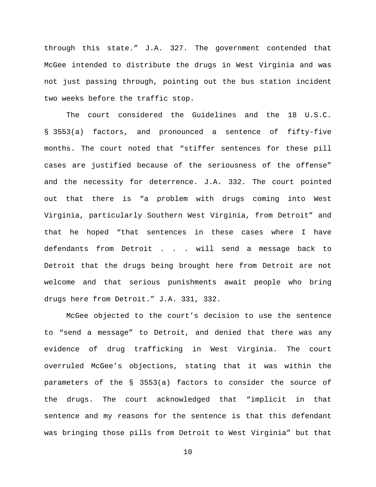through this state." J.A. 327. The government contended that McGee intended to distribute the drugs in West Virginia and was not just passing through, pointing out the bus station incident two weeks before the traffic stop.

The court considered the Guidelines and the 18 U.S.C. § 3553(a) factors, and pronounced a sentence of fifty-five months. The court noted that "stiffer sentences for these pill cases are justified because of the seriousness of the offense" and the necessity for deterrence. J.A. 332. The court pointed out that there is "a problem with drugs coming into West Virginia, particularly Southern West Virginia, from Detroit" and that he hoped "that sentences in these cases where I have defendants from Detroit . . . will send a message back to Detroit that the drugs being brought here from Detroit are not welcome and that serious punishments await people who bring drugs here from Detroit." J.A. 331, 332.

McGee objected to the court's decision to use the sentence to "send a message" to Detroit, and denied that there was any evidence of drug trafficking in West Virginia. The court overruled McGee's objections, stating that it was within the parameters of the § 3553(a) factors to consider the source of the drugs. The court acknowledged that "implicit in that sentence and my reasons for the sentence is that this defendant was bringing those pills from Detroit to West Virginia" but that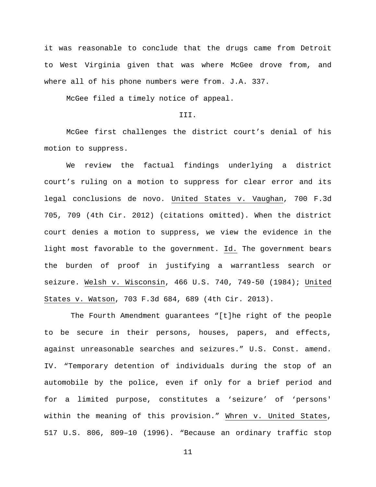it was reasonable to conclude that the drugs came from Detroit to West Virginia given that was where McGee drove from, and where all of his phone numbers were from. J.A. 337.

McGee filed a timely notice of appeal.

## III.

McGee first challenges the district court's denial of his motion to suppress.

We review the factual findings underlying a district court's ruling on a motion to suppress for clear error and its legal conclusions de novo. United States v. Vaughan, 700 F.3d 705, 709 (4th Cir. 2012) (citations omitted). When the district court denies a motion to suppress, we view the evidence in the light most favorable to the government. Id. The government bears the burden of proof in justifying a warrantless search or seizure. Welsh v. Wisconsin, 466 U.S. 740, 749-50 (1984); United States v. Watson, 703 F.3d 684, 689 (4th Cir. 2013).

The Fourth Amendment guarantees "[t]he right of the people to be secure in their persons, houses, papers, and effects, against unreasonable searches and seizures." U.S. Const. amend. IV. "Temporary detention of individuals during the stop of an automobile by the police, even if only for a brief period and for a limited purpose, constitutes a 'seizure' of 'persons' within the meaning of this provision." Whren v. United States, 517 U.S. 806, 809–10 (1996). "Because an ordinary traffic stop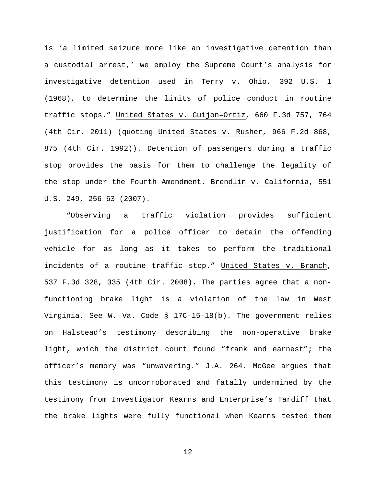is 'a limited seizure more like an investigative detention than a custodial arrest,' we employ the Supreme Court's analysis for investigative detention used in Terry v. Ohio, 392 U.S. 1 (1968), to determine the limits of police conduct in routine traffic stops." United States v. Guijon–Ortiz, 660 F.3d 757, 764 (4th Cir. 2011) (quoting United States v. Rusher, 966 F.2d 868, 875 (4th Cir. 1992)). Detention of passengers during a traffic stop provides the basis for them to challenge the legality of the stop under the Fourth Amendment. Brendlin v. California, 551 U.S. 249, 256-63 (2007).

"Observing a traffic violation provides sufficient justification for a police officer to detain the offending vehicle for as long as it takes to perform the traditional incidents of a routine traffic stop." United States v. Branch, 537 F.3d 328, 335 (4th Cir. 2008). The parties agree that a nonfunctioning brake light is a violation of the law in West Virginia. See W. Va. Code § 17C-15-18(b). The government relies on Halstead's testimony describing the non-operative brake light, which the district court found "frank and earnest"; the officer's memory was "unwavering." J.A. 264. McGee argues that this testimony is uncorroborated and fatally undermined by the testimony from Investigator Kearns and Enterprise's Tardiff that the brake lights were fully functional when Kearns tested them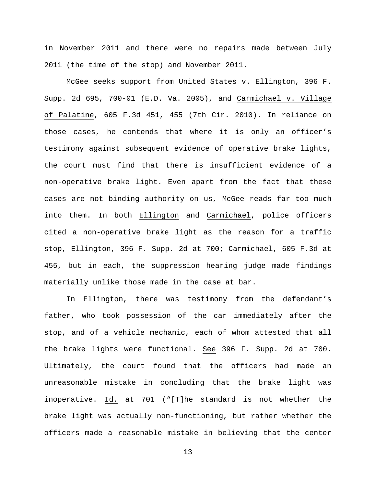in November 2011 and there were no repairs made between July 2011 (the time of the stop) and November 2011.

McGee seeks support from United States v. Ellington, 396 F. Supp. 2d 695, 700-01 (E.D. Va. 2005), and Carmichael v. Village of Palatine, 605 F.3d 451, 455 (7th Cir. 2010). In reliance on those cases, he contends that where it is only an officer's testimony against subsequent evidence of operative brake lights, the court must find that there is insufficient evidence of a non-operative brake light. Even apart from the fact that these cases are not binding authority on us, McGee reads far too much into them. In both Ellington and Carmichael, police officers cited a non-operative brake light as the reason for a traffic stop, Ellington, 396 F. Supp. 2d at 700; Carmichael, 605 F.3d at 455, but in each, the suppression hearing judge made findings materially unlike those made in the case at bar.

In Ellington, there was testimony from the defendant's father, who took possession of the car immediately after the stop, and of a vehicle mechanic, each of whom attested that all the brake lights were functional. See 396 F. Supp. 2d at 700. Ultimately, the court found that the officers had made an unreasonable mistake in concluding that the brake light was inoperative. Id. at 701 ("[T]he standard is not whether the brake light was actually non-functioning, but rather whether the officers made a reasonable mistake in believing that the center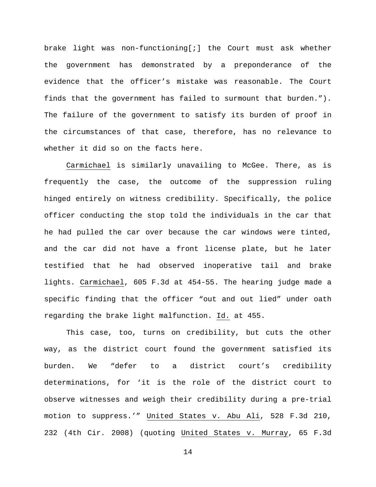brake light was non-functioning[;] the Court must ask whether the government has demonstrated by a preponderance of the evidence that the officer's mistake was reasonable. The Court finds that the government has failed to surmount that burden."). The failure of the government to satisfy its burden of proof in the circumstances of that case, therefore, has no relevance to whether it did so on the facts here.

Carmichael is similarly unavailing to McGee. There, as is frequently the case, the outcome of the suppression ruling hinged entirely on witness credibility. Specifically, the police officer conducting the stop told the individuals in the car that he had pulled the car over because the car windows were tinted, and the car did not have a front license plate, but he later testified that he had observed inoperative tail and brake lights. Carmichael, 605 F.3d at 454-55. The hearing judge made a specific finding that the officer "out and out lied" under oath regarding the brake light malfunction. Id. at 455.

This case, too, turns on credibility, but cuts the other way, as the district court found the government satisfied its burden. We "defer to a district court's credibility determinations, for 'it is the role of the district court to observe witnesses and weigh their credibility during a pre-trial motion to suppress.'" United States v. Abu Ali, 528 F.3d 210, 232 (4th Cir. 2008) (quoting United States v. Murray, 65 F.3d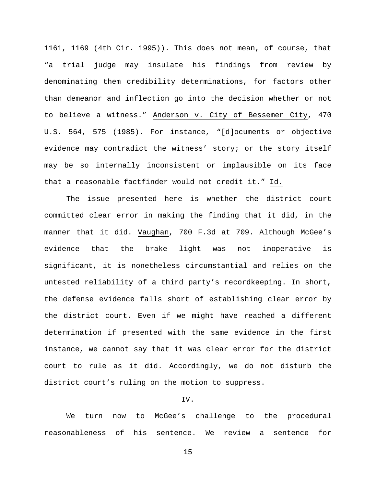1161, 1169 (4th Cir. 1995)). This does not mean, of course, that "a trial judge may insulate his findings from review by denominating them credibility determinations, for factors other than demeanor and inflection go into the decision whether or not to believe a witness." Anderson v. City of Bessemer City, 470 U.S. 564, 575 (1985). For instance, "[d]ocuments or objective evidence may contradict the witness' story; or the story itself may be so internally inconsistent or implausible on its face that a reasonable factfinder would not credit it." Id.

The issue presented here is whether the district court committed clear error in making the finding that it did, in the manner that it did. Vaughan, 700 F.3d at 709. Although McGee's evidence that the brake light was not inoperative is significant, it is nonetheless circumstantial and relies on the untested reliability of a third party's recordkeeping. In short, the defense evidence falls short of establishing clear error by the district court. Even if we might have reached a different determination if presented with the same evidence in the first instance, we cannot say that it was clear error for the district court to rule as it did. Accordingly, we do not disturb the district court's ruling on the motion to suppress.

# IV.

We turn now to McGee's challenge to the procedural reasonableness of his sentence. We review a sentence for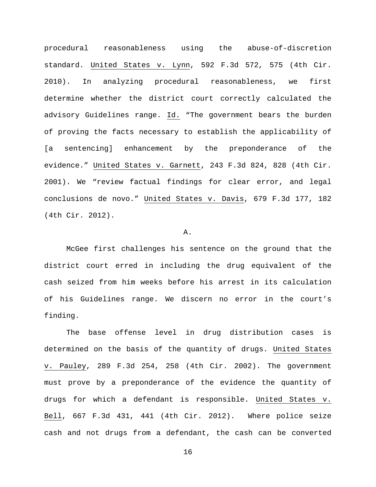procedural reasonableness using the abuse-of-discretion standard. United States v. Lynn, 592 F.3d 572, 575 (4th Cir. 2010). In analyzing procedural reasonableness, we first determine whether the district court correctly calculated the advisory Guidelines range. Id. "The government bears the burden of proving the facts necessary to establish the applicability of [a sentencing] enhancement by the preponderance of the evidence." United States v. Garnett, 243 F.3d 824, 828 (4th Cir. 2001). We "review factual findings for clear error, and legal conclusions de novo." United States v. Davis, 679 F.3d 177, 182 (4th Cir. 2012).

#### A.

McGee first challenges his sentence on the ground that the district court erred in including the drug equivalent of the cash seized from him weeks before his arrest in its calculation of his Guidelines range. We discern no error in the court's finding.

The base offense level in drug distribution cases is determined on the basis of the quantity of drugs. United States v. Pauley, 289 F.3d 254, 258 (4th Cir. 2002). The government must prove by a preponderance of the evidence the quantity of drugs for which a defendant is responsible. United States v. Bell, 667 F.3d 431, 441 (4th Cir. 2012). Where police seize cash and not drugs from a defendant, the cash can be converted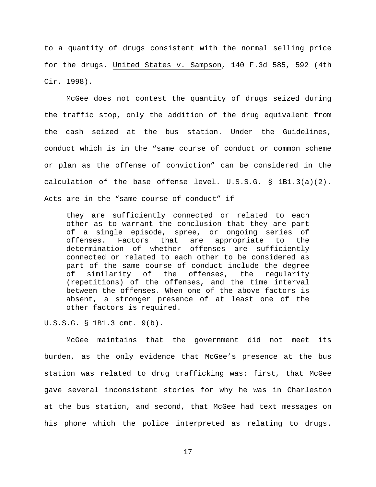to a quantity of drugs consistent with the normal selling price for the drugs. United States v. Sampson, 140 F.3d 585, 592 (4th Cir. 1998).

McGee does not contest the quantity of drugs seized during the traffic stop, only the addition of the drug equivalent from the cash seized at the bus station. Under the Guidelines, conduct which is in the "same course of conduct or common scheme or plan as the offense of conviction" can be considered in the calculation of the base offense level. U.S.S.G. § 1B1.3(a)(2). Acts are in the "same course of conduct" if

they are sufficiently connected or related to each other as to warrant the conclusion that they are part of a single episode, spree, or ongoing series of offenses. Factors that are appropriate to the determination of whether offenses are sufficiently connected or related to each other to be considered as part of the same course of conduct include the degree<br>of similarity of the offenses, the reqularity similarity of the offenses, the regularity (repetitions) of the offenses, and the time interval between the offenses. When one of the above factors is absent, a stronger presence of at least one of the other factors is required.

U.S.S.G. § 1B1.3 cmt. 9(b).

McGee maintains that the government did not meet its burden, as the only evidence that McGee's presence at the bus station was related to drug trafficking was: first, that McGee gave several inconsistent stories for why he was in Charleston at the bus station, and second, that McGee had text messages on his phone which the police interpreted as relating to drugs.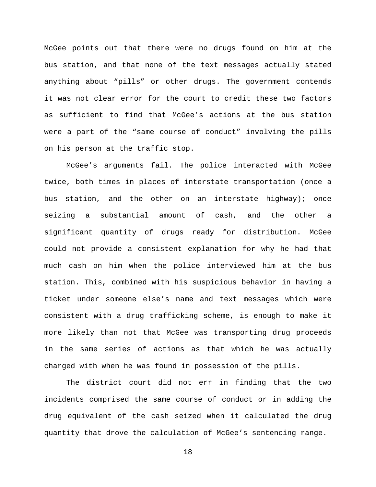McGee points out that there were no drugs found on him at the bus station, and that none of the text messages actually stated anything about "pills" or other drugs. The government contends it was not clear error for the court to credit these two factors as sufficient to find that McGee's actions at the bus station were a part of the "same course of conduct" involving the pills on his person at the traffic stop.

McGee's arguments fail. The police interacted with McGee twice, both times in places of interstate transportation (once a bus station, and the other on an interstate highway); once seizing a substantial amount of cash, and the other a significant quantity of drugs ready for distribution. McGee could not provide a consistent explanation for why he had that much cash on him when the police interviewed him at the bus station. This, combined with his suspicious behavior in having a ticket under someone else's name and text messages which were consistent with a drug trafficking scheme, is enough to make it more likely than not that McGee was transporting drug proceeds in the same series of actions as that which he was actually charged with when he was found in possession of the pills.

The district court did not err in finding that the two incidents comprised the same course of conduct or in adding the drug equivalent of the cash seized when it calculated the drug quantity that drove the calculation of McGee's sentencing range.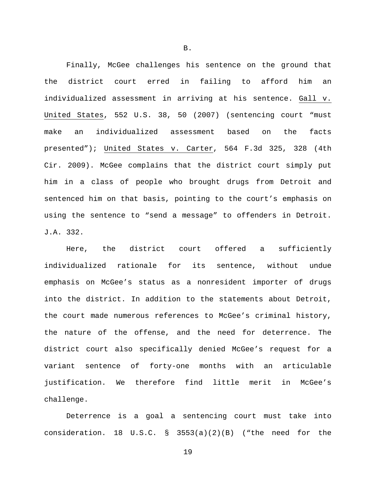Finally, McGee challenges his sentence on the ground that the district court erred in failing to afford him an individualized assessment in arriving at his sentence. Gall v. United States, 552 U.S. 38, 50 (2007) (sentencing court "must make an individualized assessment based on the facts presented"); United States v. Carter, 564 F.3d 325, 328 (4th Cir. 2009). McGee complains that the district court simply put him in a class of people who brought drugs from Detroit and sentenced him on that basis, pointing to the court's emphasis on using the sentence to "send a message" to offenders in Detroit. J.A. 332.

Here, the district court offered a sufficiently individualized rationale for its sentence, without undue emphasis on McGee's status as a nonresident importer of drugs into the district. In addition to the statements about Detroit, the court made numerous references to McGee's criminal history, the nature of the offense, and the need for deterrence. The district court also specifically denied McGee's request for a variant sentence of forty-one months with an articulable justification. We therefore find little merit in McGee's challenge.

Deterrence is a goal a sentencing court must take into consideration. 18 U.S.C. § 3553(a)(2)(B) ("the need for the

B.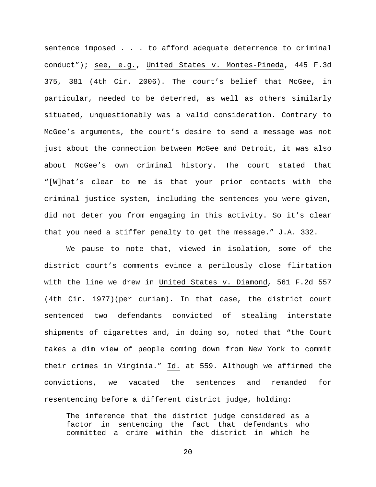sentence imposed . . . to afford adequate deterrence to criminal conduct"); see, e.g., United States v. Montes-Pineda, 445 F.3d 375, 381 (4th Cir. 2006). The court's belief that McGee, in particular, needed to be deterred, as well as others similarly situated, unquestionably was a valid consideration. Contrary to McGee's arguments, the court's desire to send a message was not just about the connection between McGee and Detroit, it was also about McGee's own criminal history. The court stated that "[W]hat's clear to me is that your prior contacts with the criminal justice system, including the sentences you were given, did not deter you from engaging in this activity. So it's clear that you need a stiffer penalty to get the message." J.A. 332.

We pause to note that, viewed in isolation, some of the district court's comments evince a perilously close flirtation with the line we drew in United States v. Diamond, 561 F.2d 557 (4th Cir. 1977)(per curiam). In that case, the district court sentenced two defendants convicted of stealing interstate shipments of cigarettes and, in doing so, noted that "the Court takes a dim view of people coming down from New York to commit their crimes in Virginia." Id. at 559. Although we affirmed the convictions, we vacated the sentences and remanded for resentencing before a different district judge, holding:

The inference that the district judge considered as a factor in sentencing the fact that defendants who committed a crime within the district in which he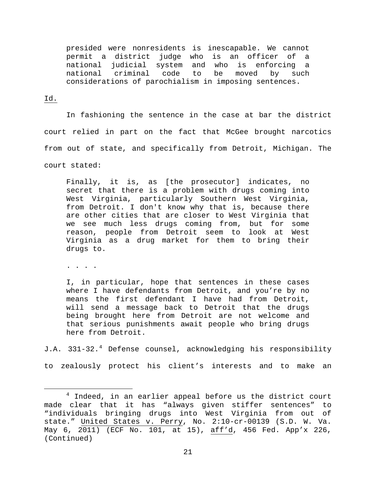presided were nonresidents is inescapable. We cannot permit a district judge who is an officer of a national judicial system and who is enforcing a national criminal code to be moved by such considerations of parochialism in imposing sentences.

### Id.

In fashioning the sentence in the case at bar the district court relied in part on the fact that McGee brought narcotics from out of state, and specifically from Detroit, Michigan. The court stated:

Finally, it is, as [the prosecutor] indicates, no secret that there is a problem with drugs coming into West Virginia, particularly Southern West Virginia, from Detroit. I don't know why that is, because there are other cities that are closer to West Virginia that we see much less drugs coming from, but for some reason, people from Detroit seem to look at West Virginia as a drug market for them to bring their drugs to.

. . . .

I, in particular, hope that sentences in these cases where I have defendants from Detroit, and you're by no means the first defendant I have had from Detroit, will send a message back to Detroit that the drugs being brought here from Detroit are not welcome and that serious punishments await people who bring drugs here from Detroit.

J.A. 331-32.<sup>[4](#page-20-0)</sup> Defense counsel, acknowledging his responsibility

to zealously protect his client's interests and to make an

<span id="page-20-0"></span><sup>&</sup>lt;sup>4</sup> Indeed, in an earlier appeal before us the district court made clear that it has "always given stiffer sentences" to "individuals bringing drugs into West Virginia from out of state." United States v. Perry, No. 2:10-cr-00139 (S.D. W. Va. May 6, 2011) (ECF No. 101, at 15), aff'd, 456 Fed. App'x 226, (Continued)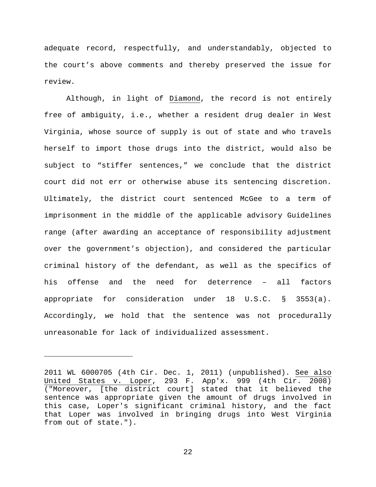adequate record, respectfully, and understandably, objected to the court's above comments and thereby preserved the issue for review.

Although, in light of Diamond, the record is not entirely free of ambiguity, i.e., whether a resident drug dealer in West Virginia, whose source of supply is out of state and who travels herself to import those drugs into the district, would also be subject to "stiffer sentences," we conclude that the district court did not err or otherwise abuse its sentencing discretion. Ultimately, the district court sentenced McGee to a term of imprisonment in the middle of the applicable advisory Guidelines range (after awarding an acceptance of responsibility adjustment over the government's objection), and considered the particular criminal history of the defendant, as well as the specifics of his offense and the need for deterrence – all factors appropriate for consideration under 18 U.S.C. § 3553(a). Accordingly, we hold that the sentence was not procedurally unreasonable for lack of individualized assessment.

Ĩ.

<sup>2011</sup> WL 6000705 (4th Cir. Dec. 1, 2011) (unpublished). See also United States v. Loper, 293 F. App'x. 999 (4th Cir. 2008) ("Moreover, [the district court] stated that it believed the sentence was appropriate given the amount of drugs involved in this case, Loper's significant criminal history, and the fact that Loper was involved in bringing drugs into West Virginia from out of state.").